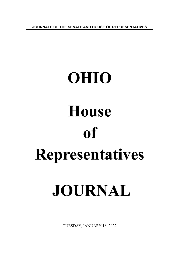**JOURNALS OF THE SENATE AND HOUSE OF REPRESENTATIVES**

# **OHIO House of Representatives JOURNAL**

TUESDAY, JANUARY 18, 2022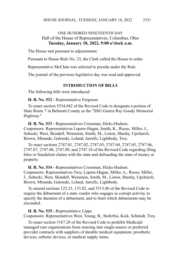# ONE HUNDRED NINETEENTH DAY Hall of the House of Representatives, Columbus, Ohio **Tuesday, January 18, 2022, 9:00 o'clock a.m.**

The House met pursuant to adjournment.

Pursuant to House Rule No. 23, the Clerk called the House to order.

Representative McClain was selected to preside under the Rule.

The journal of the previous legislative day was read and approved.

#### **INTRODUCTION OF BILLS**

The following bills were introduced:

**H. B. No. 532 -** Representative Ferguson.

To enact section 5534.842 of the Revised Code to designate a portion of State Route 7 in Belmont County as the "SSG Garren Ray Goudy Memorial Highway."

**H. B. No. 533 -** Representatives Crossman, Hicks-Hudson. Cosponsors: Representatives Lepore-Hagan, Smith, K., Russo, Miller, J., Sobecki, West, Skindell, Weinstein, Smith, M., Liston, Sheehy, Upchurch, Brown, Miranda, Galonski, Leland, Jarrells, Lightbody, Troy.

To enact sections 2747.01, 2747.02, 2747.03, 2747.04, 2747.05, 2747.06, 2747.07, 2747.08, 2747.09, and 2747.10 of the Revised Code regarding filing false or fraudulent claims with the state and defrauding the state of money or property.

**H. B. No. 534 -** Representatives Crossman, Hicks-Hudson. Cosponsors: Representatives Troy, Lepore-Hagan, Miller, A., Russo, Miller, J., Sobecki, West, Skindell, Weinstein, Smith, M., Liston, Sheehy, Upchurch, Brown, Miranda, Galonski, Leland, Jarrells, Lightbody.

To amend sections 125.25, 153.02, and 5513.06 of the Revised Code to require the debarment of a state vendor who engages in corrupt activity, to specify the duration of a debarment, and to limit which debarments may be rescinded.

**H. B. No. 535 -** Representative Lipps. Cosponsors: Representatives West, Young, B., Stoltzfus, Kick, Schmidt, Troy.

To enact section 5167.28 of the Revised Code to prohibit Medicaid managed care organizations from entering into single-source or preferred provider contracts with suppliers of durable medical equipment, prosthetic devices, orthotic devices, or medical supply items.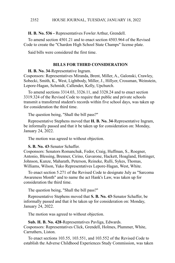**H. B. No. 536 -** Representatives Fowler Arthur, Grendell.

To amend section 4501.21 and to enact section 4503.964 of the Revised Code to create the "Chardon High School State Champs" license plate.

Said bills were considered the first time.

## **BILLS FOR THIRD CONSIDERATION**

**H. B. No. 34**-Representative Ingram.

Cosponsors: Representatives Miranda, Brent, Miller, A., Galonski, Crawley, Sobecki, Smith, K., West, Lightbody, Miller, J., Hillyer, Crossman, Weinstein, Lepore-Hagan, Schmidt, Callender, Kelly, Upchurch.

To amend sections 3314.03, 3326.11, and 3328.24 and to enact section 3319.324 of the Revised Code to require that public and private schools transmit a transferred student's records within five school days, was taken up for consideration the third time.

The question being, "Shall the bill pass?"

Representative Stephens moved that **H. B. No. 34**-Representative Ingram, be informally passed and that it be taken up for consideration on: Monday, January 24, 2022.

The motion was agreed to without objection.

**S. B. No. 43**-Senator Schaffer.

Cosponsors: Senators Romanchuk, Fedor, Craig, Huffman, S., Roegner, Antonio, Blessing, Brenner, Cirino, Gavarone, Hackett, Hoagland, Hottinger, Johnson, Kunze, Maharath, Peterson, Reineke, Rulli, Sykes, Thomas, Williams, Wilson, Yuko Representatives Lepore-Hagan, West, White.

To enact section 5.271 of the Revised Code to designate July as "Sarcoma Awareness Month" and to name the act Hank's Law, was taken up for consideration the third time.

The question being, "Shall the bill pass?"

Representative Stephens moved that **S. B. No. 43**-Senator Schaffer, be informally passed and that it be taken up for consideration on: Monday, January 24, 2022.

The motion was agreed to without objection.

**Sub. H. B. No. 428**-Representatives Pavliga, Edwards. Cosponsors: Representatives Click, Grendell, Holmes, Plummer, White, Carruthers, Liston.

To enact sections 103.55, 103.551, and 103.552 of the Revised Code to establish the Adverse Childhood Experiences Study Commission, was taken